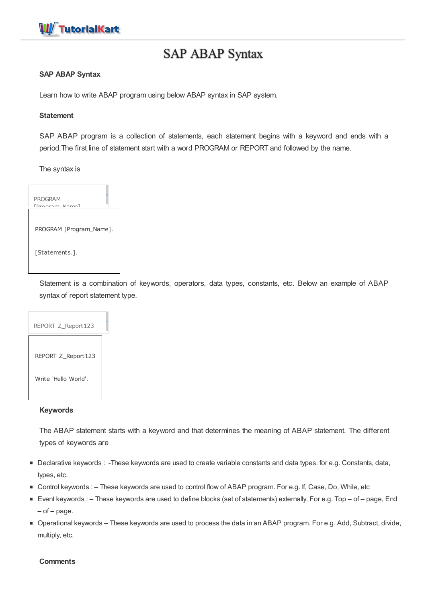

# SAP ABAP Syntax

# **SAP ABAP Syntax**

Learn how to write ABAP program using below ABAP syntax in SAP system.

## **Statement**

SAP ABAP program is a collection of statements, each statement begins with a keyword and ends with a period.The first line of statement start with a word PROGRAM or REPORT and followed by the name.

The syntax is



Statement is a combination of keywords, operators, data types, constants, etc. Below an example of ABAP syntax of report statement type.



# **Keywords**

The ABAP statement starts with a keyword and that determines the meaning of ABAP statement. The different types of keywords are

- Declarative keywords : -These keywords are used to create variable constants and data types. for e.g. Constants, data, types, etc.
- Control keywords : These keywords are used to control flow of ABAP program. For e.g. If, Case, Do, While, etc
- Event keywords : These keywords are used to define blocks (set of statements) externally. For e.g. Top of page, End  $-$  of  $-$  page.
- Operational keywords These keywords are used to process the data in an ABAP program. For e.g. Add, Subtract, divide, multiply, etc.

## **Comments**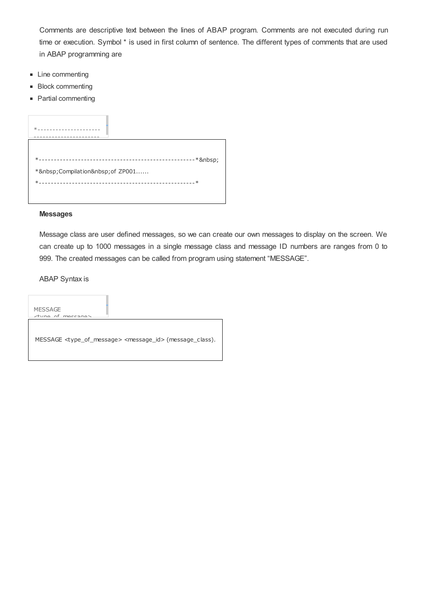Comments are descriptive text between the lines of ABAP program. Comments are not executed during run time or execution. Symbol \* is used in first column of sentence. The different types of comments that are used in ABAP programming are

- **Line commenting**
- **Block commenting**
- Partial commenting

| * Compilation of ZP001 |
|------------------------|
|                        |
|                        |

# **Messages**

Message class are user defined messages, so we can create our own messages to display on the screen. We can create up to 1000 messages in a single message class and message ID numbers are ranges from 0 to 999. The created messages can be called from program using statement "MESSAGE".

ABAP Syntax is

MESSAGE  $\rightarrow$ type\_of MESSAGE <type\_of\_message> <message\_id> (message\_class).